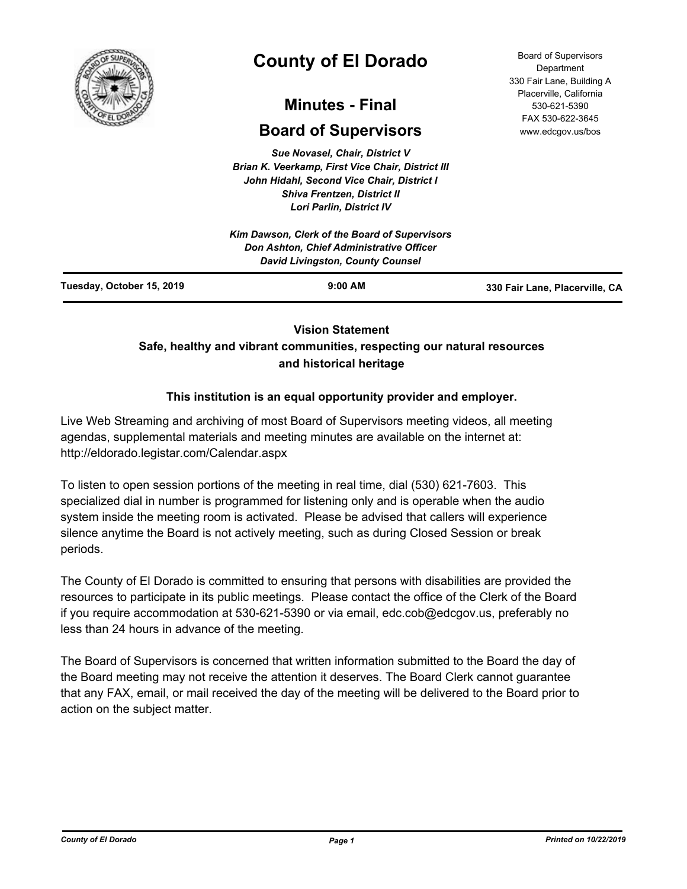

# **County of El Dorado**

## **Minutes - Final**

## **Board of Supervisors**

*Sue Novasel, Chair, District V Brian K. Veerkamp, First Vice Chair, District III John Hidahl, Second Vice Chair, District I Shiva Frentzen, District II Lori Parlin, District IV*

|                           | Kim Dawson, Clerk of the Board of Supervisors<br><b>Don Ashton, Chief Administrative Officer</b> |                                |
|---------------------------|--------------------------------------------------------------------------------------------------|--------------------------------|
| Tuesday, October 15, 2019 | $9:00$ AM                                                                                        | 330 Fair Lane, Placerville, CA |

## **Vision Statement**

## **Safe, healthy and vibrant communities, respecting our natural resources and historical heritage**

## **This institution is an equal opportunity provider and employer.**

Live Web Streaming and archiving of most Board of Supervisors meeting videos, all meeting agendas, supplemental materials and meeting minutes are available on the internet at: http://eldorado.legistar.com/Calendar.aspx

To listen to open session portions of the meeting in real time, dial (530) 621-7603. This specialized dial in number is programmed for listening only and is operable when the audio system inside the meeting room is activated. Please be advised that callers will experience silence anytime the Board is not actively meeting, such as during Closed Session or break periods.

The County of El Dorado is committed to ensuring that persons with disabilities are provided the resources to participate in its public meetings. Please contact the office of the Clerk of the Board if you require accommodation at 530-621-5390 or via email, edc.cob@edcgov.us, preferably no less than 24 hours in advance of the meeting.

The Board of Supervisors is concerned that written information submitted to the Board the day of the Board meeting may not receive the attention it deserves. The Board Clerk cannot guarantee that any FAX, email, or mail received the day of the meeting will be delivered to the Board prior to action on the subject matter.

Board of Supervisors Department 330 Fair Lane, Building A Placerville, California 530-621-5390 FAX 530-622-3645 www.edcgov.us/bos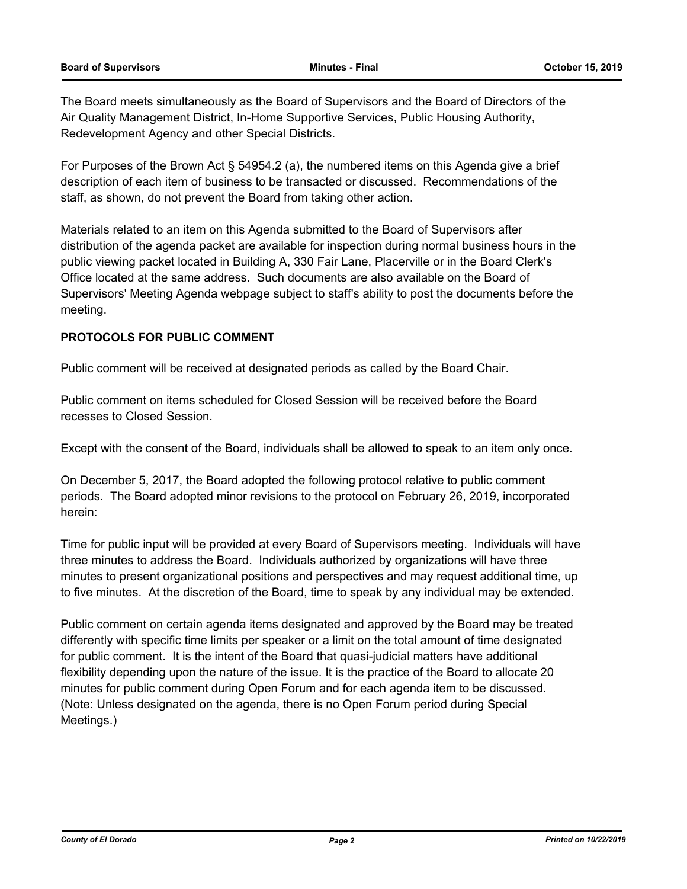The Board meets simultaneously as the Board of Supervisors and the Board of Directors of the Air Quality Management District, In-Home Supportive Services, Public Housing Authority, Redevelopment Agency and other Special Districts.

For Purposes of the Brown Act § 54954.2 (a), the numbered items on this Agenda give a brief description of each item of business to be transacted or discussed. Recommendations of the staff, as shown, do not prevent the Board from taking other action.

Materials related to an item on this Agenda submitted to the Board of Supervisors after distribution of the agenda packet are available for inspection during normal business hours in the public viewing packet located in Building A, 330 Fair Lane, Placerville or in the Board Clerk's Office located at the same address. Such documents are also available on the Board of Supervisors' Meeting Agenda webpage subject to staff's ability to post the documents before the meeting.

#### **PROTOCOLS FOR PUBLIC COMMENT**

Public comment will be received at designated periods as called by the Board Chair.

Public comment on items scheduled for Closed Session will be received before the Board recesses to Closed Session.

Except with the consent of the Board, individuals shall be allowed to speak to an item only once.

On December 5, 2017, the Board adopted the following protocol relative to public comment periods. The Board adopted minor revisions to the protocol on February 26, 2019, incorporated herein:

Time for public input will be provided at every Board of Supervisors meeting. Individuals will have three minutes to address the Board. Individuals authorized by organizations will have three minutes to present organizational positions and perspectives and may request additional time, up to five minutes. At the discretion of the Board, time to speak by any individual may be extended.

Public comment on certain agenda items designated and approved by the Board may be treated differently with specific time limits per speaker or a limit on the total amount of time designated for public comment. It is the intent of the Board that quasi-judicial matters have additional flexibility depending upon the nature of the issue. It is the practice of the Board to allocate 20 minutes for public comment during Open Forum and for each agenda item to be discussed. (Note: Unless designated on the agenda, there is no Open Forum period during Special Meetings.)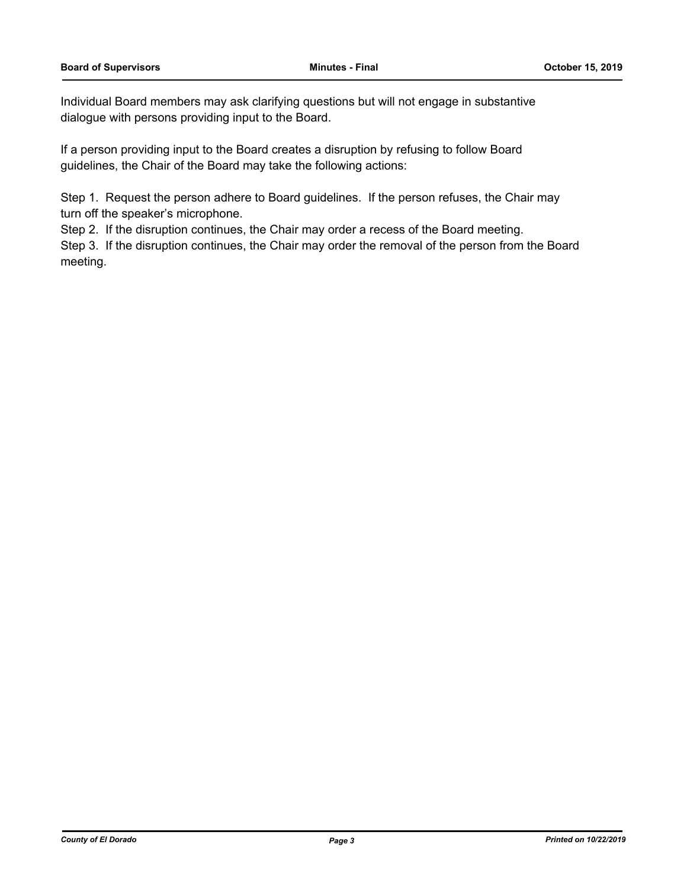Individual Board members may ask clarifying questions but will not engage in substantive dialogue with persons providing input to the Board.

If a person providing input to the Board creates a disruption by refusing to follow Board guidelines, the Chair of the Board may take the following actions:

Step 1. Request the person adhere to Board guidelines. If the person refuses, the Chair may turn off the speaker's microphone.

Step 2. If the disruption continues, the Chair may order a recess of the Board meeting.

Step 3. If the disruption continues, the Chair may order the removal of the person from the Board meeting.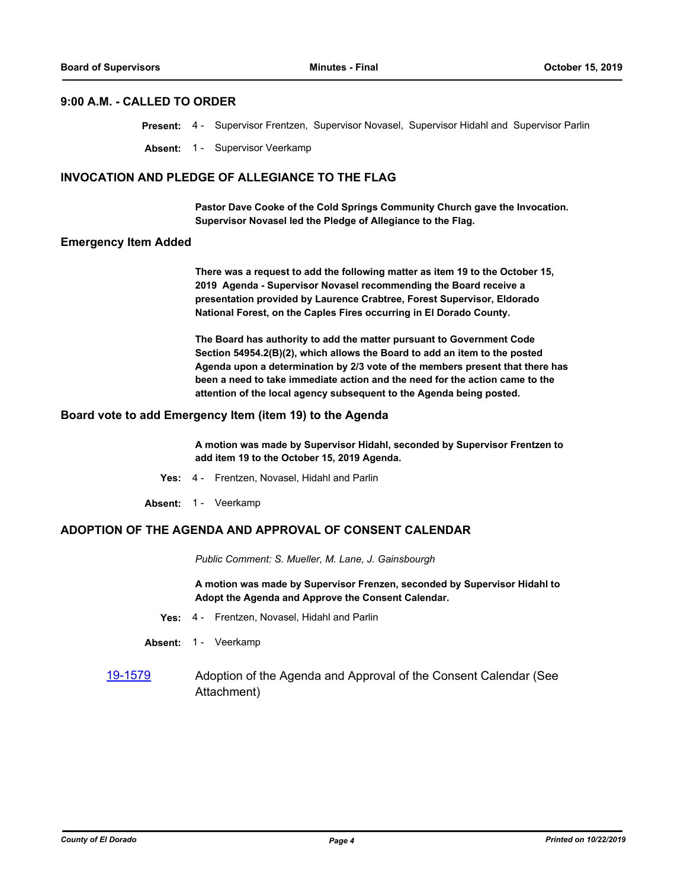#### **9:00 A.M. - CALLED TO ORDER**

|  |  | Present: 4 - Supervisor Frentzen, Supervisor Novasel, Supervisor Hidahl and Supervisor Parlin |  |
|--|--|-----------------------------------------------------------------------------------------------|--|
|  |  |                                                                                               |  |

**Absent:** 1 - Supervisor Veerkamp

#### **INVOCATION AND PLEDGE OF ALLEGIANCE TO THE FLAG**

**Pastor Dave Cooke of the Cold Springs Community Church gave the Invocation. Supervisor Novasel led the Pledge of Allegiance to the Flag.**

#### **Emergency Item Added**

**There was a request to add the following matter as item 19 to the October 15, 2019 Agenda - Supervisor Novasel recommending the Board receive a presentation provided by Laurence Crabtree, Forest Supervisor, Eldorado National Forest, on the Caples Fires occurring in El Dorado County.** 

**The Board has authority to add the matter pursuant to Government Code Section 54954.2(B)(2), which allows the Board to add an item to the posted Agenda upon a determination by 2/3 vote of the members present that there has been a need to take immediate action and the need for the action came to the attention of the local agency subsequent to the Agenda being posted.**

#### **Board vote to add Emergency Item (item 19) to the Agenda**

**A motion was made by Supervisor Hidahl, seconded by Supervisor Frentzen to add item 19 to the October 15, 2019 Agenda.**

- **Yes:** 4 Frentzen, Novasel, Hidahl and Parlin
- Absent: 1 Veerkamp

#### **ADOPTION OF THE AGENDA AND APPROVAL OF CONSENT CALENDAR**

*Public Comment: S. Mueller, M. Lane, J. Gainsbourgh*

**A motion was made by Supervisor Frenzen, seconded by Supervisor Hidahl to Adopt the Agenda and Approve the Consent Calendar.**

- **Yes:** 4 Frentzen, Novasel, Hidahl and Parlin
- Absent: 1 Veerkamp
- [19-1579](http://eldorado.legistar.com/gateway.aspx?m=l&id=/matter.aspx?key=26903) Adoption of the Agenda and Approval of the Consent Calendar (See Attachment)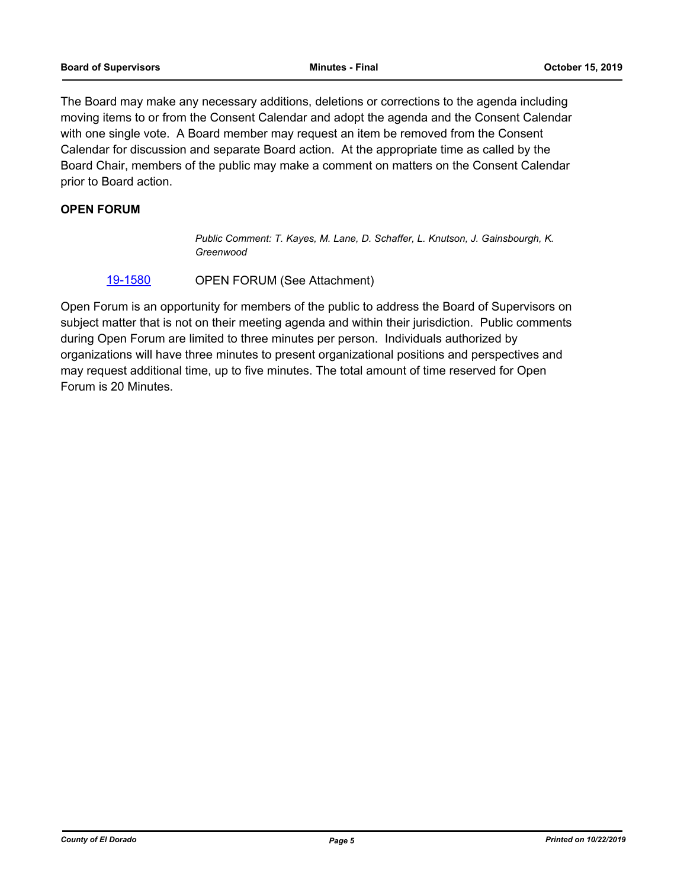The Board may make any necessary additions, deletions or corrections to the agenda including moving items to or from the Consent Calendar and adopt the agenda and the Consent Calendar with one single vote. A Board member may request an item be removed from the Consent Calendar for discussion and separate Board action. At the appropriate time as called by the Board Chair, members of the public may make a comment on matters on the Consent Calendar prior to Board action.

#### **OPEN FORUM**

*Public Comment: T. Kayes, M. Lane, D. Schaffer, L. Knutson, J. Gainsbourgh, K. Greenwood*

#### [19-1580](http://eldorado.legistar.com/gateway.aspx?m=l&id=/matter.aspx?key=26904) OPEN FORUM (See Attachment)

Open Forum is an opportunity for members of the public to address the Board of Supervisors on subject matter that is not on their meeting agenda and within their jurisdiction. Public comments during Open Forum are limited to three minutes per person. Individuals authorized by organizations will have three minutes to present organizational positions and perspectives and may request additional time, up to five minutes. The total amount of time reserved for Open Forum is 20 Minutes.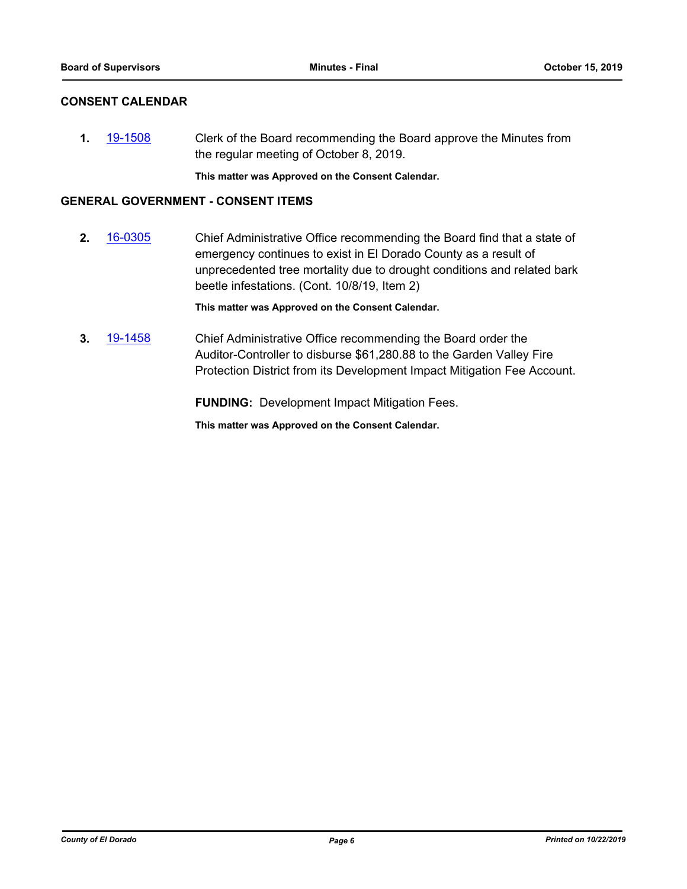## **CONSENT CALENDAR**

**1.** [19-1508](http://eldorado.legistar.com/gateway.aspx?m=l&id=/matter.aspx?key=26830) Clerk of the Board recommending the Board approve the Minutes from the regular meeting of October 8, 2019.

**This matter was Approved on the Consent Calendar.**

#### **GENERAL GOVERNMENT - CONSENT ITEMS**

**2.** [16-0305](http://eldorado.legistar.com/gateway.aspx?m=l&id=/matter.aspx?key=20961) Chief Administrative Office recommending the Board find that a state of emergency continues to exist in El Dorado County as a result of unprecedented tree mortality due to drought conditions and related bark beetle infestations. (Cont. 10/8/19, Item 2)

**This matter was Approved on the Consent Calendar.**

**3.** [19-1458](http://eldorado.legistar.com/gateway.aspx?m=l&id=/matter.aspx?key=26779) Chief Administrative Office recommending the Board order the Auditor-Controller to disburse \$61,280.88 to the Garden Valley Fire Protection District from its Development Impact Mitigation Fee Account.

**FUNDING:** Development Impact Mitigation Fees.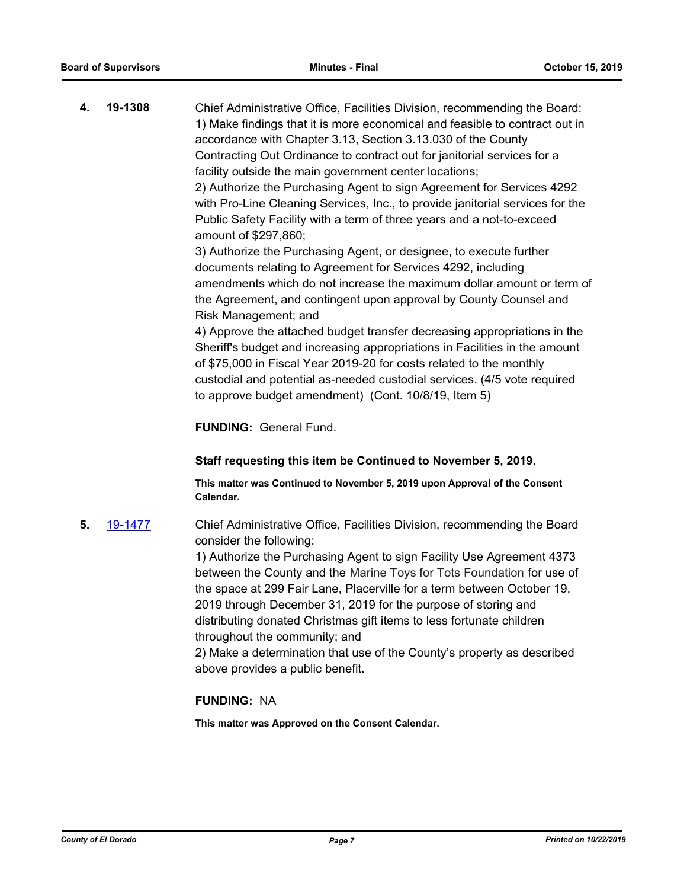**4. 19-1308** Chief Administrative Office, Facilities Division, recommending the Board: 1) Make findings that it is more economical and feasible to contract out in accordance with Chapter 3.13, Section 3.13.030 of the County Contracting Out Ordinance to contract out for janitorial services for a facility outside the main government center locations; 2) Authorize the Purchasing Agent to sign Agreement for Services 4292 with Pro-Line Cleaning Services, Inc., to provide janitorial services for the Public Safety Facility with a term of three years and a not-to-exceed amount of \$297,860; 3) Authorize the Purchasing Agent, or designee, to execute further documents relating to Agreement for Services 4292, including

amendments which do not increase the maximum dollar amount or term of the Agreement, and contingent upon approval by County Counsel and Risk Management; and

4) Approve the attached budget transfer decreasing appropriations in the Sheriff's budget and increasing appropriations in Facilities in the amount of \$75,000 in Fiscal Year 2019-20 for costs related to the monthly custodial and potential as-needed custodial services. (4/5 vote required to approve budget amendment) (Cont. 10/8/19, Item 5)

**FUNDING:** General Fund.

**Staff requesting this item be Continued to November 5, 2019.**

**This matter was Continued to November 5, 2019 upon Approval of the Consent Calendar.**

**5.** [19-1477](http://eldorado.legistar.com/gateway.aspx?m=l&id=/matter.aspx?key=26798) Chief Administrative Office, Facilities Division, recommending the Board consider the following:

> 1) Authorize the Purchasing Agent to sign Facility Use Agreement 4373 between the County and the Marine Toys for Tots Foundation for use of the space at 299 Fair Lane, Placerville for a term between October 19, 2019 through December 31, 2019 for the purpose of storing and distributing donated Christmas gift items to less fortunate children throughout the community; and

> 2) Make a determination that use of the County's property as described above provides a public benefit.

#### **FUNDING:** NA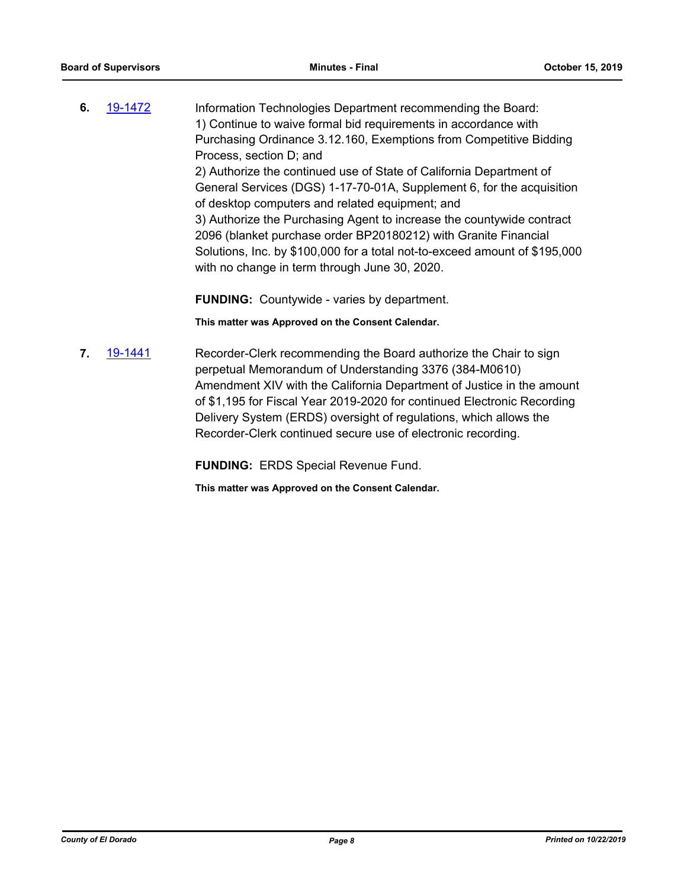**6.** [19-1472](http://eldorado.legistar.com/gateway.aspx?m=l&id=/matter.aspx?key=26793) Information Technologies Department recommending the Board: 1) Continue to waive formal bid requirements in accordance with Purchasing Ordinance 3.12.160, Exemptions from Competitive Bidding Process, section D; and 2) Authorize the continued use of State of California Department of General Services (DGS) 1-17-70-01A, Supplement 6, for the acquisition of desktop computers and related equipment; and 3) Authorize the Purchasing Agent to increase the countywide contract 2096 (blanket purchase order BP20180212) with Granite Financial Solutions, Inc. by \$100,000 for a total not-to-exceed amount of \$195,000 with no change in term through June 30, 2020.

**FUNDING:** Countywide - varies by department.

**This matter was Approved on the Consent Calendar.**

**7.** [19-1441](http://eldorado.legistar.com/gateway.aspx?m=l&id=/matter.aspx?key=26762) Recorder-Clerk recommending the Board authorize the Chair to sign perpetual Memorandum of Understanding 3376 (384-M0610) Amendment XIV with the California Department of Justice in the amount of \$1,195 for Fiscal Year 2019-2020 for continued Electronic Recording Delivery System (ERDS) oversight of regulations, which allows the Recorder-Clerk continued secure use of electronic recording.

**FUNDING:** ERDS Special Revenue Fund.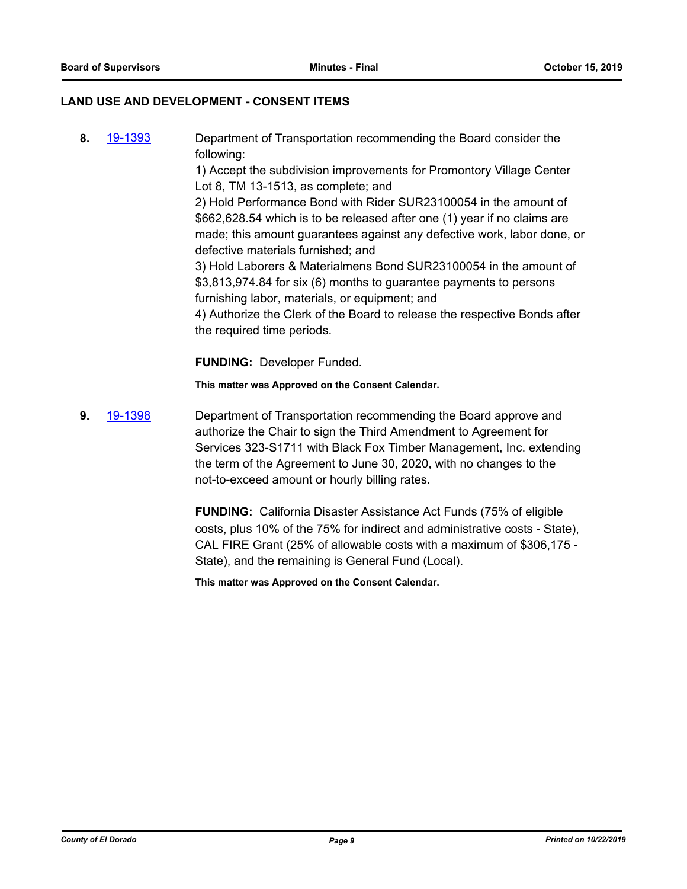#### **LAND USE AND DEVELOPMENT - CONSENT ITEMS**

**8.** [19-1393](http://eldorado.legistar.com/gateway.aspx?m=l&id=/matter.aspx?key=26714) Department of Transportation recommending the Board consider the following: 1) Accept the subdivision improvements for Promontory Village Center Lot 8, TM 13-1513, as complete; and 2) Hold Performance Bond with Rider SUR23100054 in the amount of \$662,628.54 which is to be released after one (1) year if no claims are made; this amount guarantees against any defective work, labor done, or defective materials furnished; and 3) Hold Laborers & Materialmens Bond SUR23100054 in the amount of \$3,813,974.84 for six (6) months to guarantee payments to persons furnishing labor, materials, or equipment; and 4) Authorize the Clerk of the Board to release the respective Bonds after the required time periods.

**FUNDING:** Developer Funded.

**This matter was Approved on the Consent Calendar.**

**9.** [19-1398](http://eldorado.legistar.com/gateway.aspx?m=l&id=/matter.aspx?key=26719) Department of Transportation recommending the Board approve and authorize the Chair to sign the Third Amendment to Agreement for Services 323-S1711 with Black Fox Timber Management, Inc. extending the term of the Agreement to June 30, 2020, with no changes to the not-to-exceed amount or hourly billing rates.

> **FUNDING:** California Disaster Assistance Act Funds (75% of eligible costs, plus 10% of the 75% for indirect and administrative costs - State), CAL FIRE Grant (25% of allowable costs with a maximum of \$306,175 - State), and the remaining is General Fund (Local).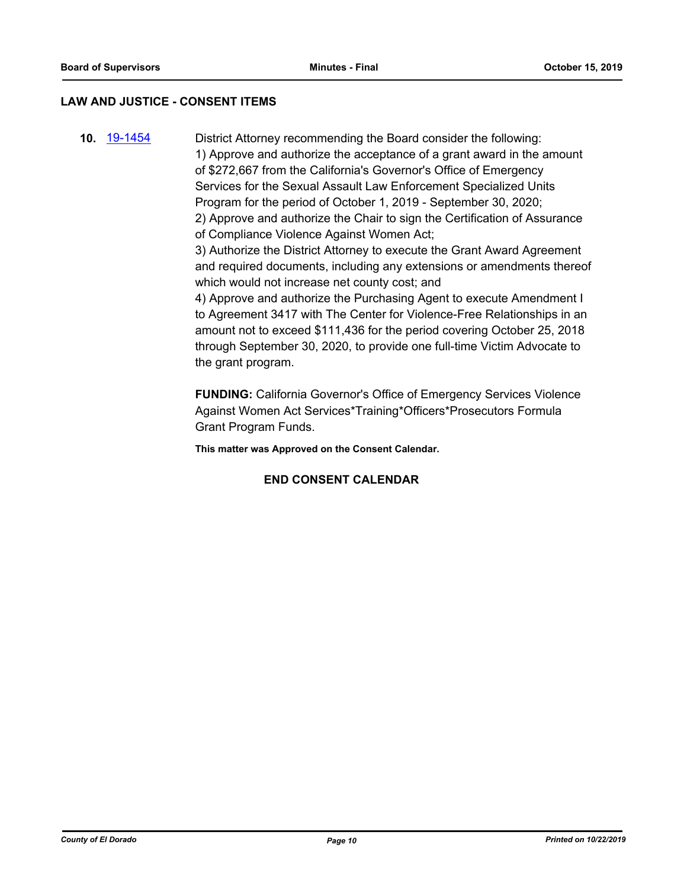#### **LAW AND JUSTICE - CONSENT ITEMS**

**10.** [19-1454](http://eldorado.legistar.com/gateway.aspx?m=l&id=/matter.aspx?key=26775) District Attorney recommending the Board consider the following: 1) Approve and authorize the acceptance of a grant award in the amount of \$272,667 from the California's Governor's Office of Emergency Services for the Sexual Assault Law Enforcement Specialized Units Program for the period of October 1, 2019 - September 30, 2020; 2) Approve and authorize the Chair to sign the Certification of Assurance of Compliance Violence Against Women Act;

> 3) Authorize the District Attorney to execute the Grant Award Agreement and required documents, including any extensions or amendments thereof which would not increase net county cost; and

4) Approve and authorize the Purchasing Agent to execute Amendment I to Agreement 3417 with The Center for Violence-Free Relationships in an amount not to exceed \$111,436 for the period covering October 25, 2018 through September 30, 2020, to provide one full-time Victim Advocate to the grant program.

**FUNDING:** California Governor's Office of Emergency Services Violence Against Women Act Services\*Training\*Officers\*Prosecutors Formula Grant Program Funds.

**This matter was Approved on the Consent Calendar.**

#### **END CONSENT CALENDAR**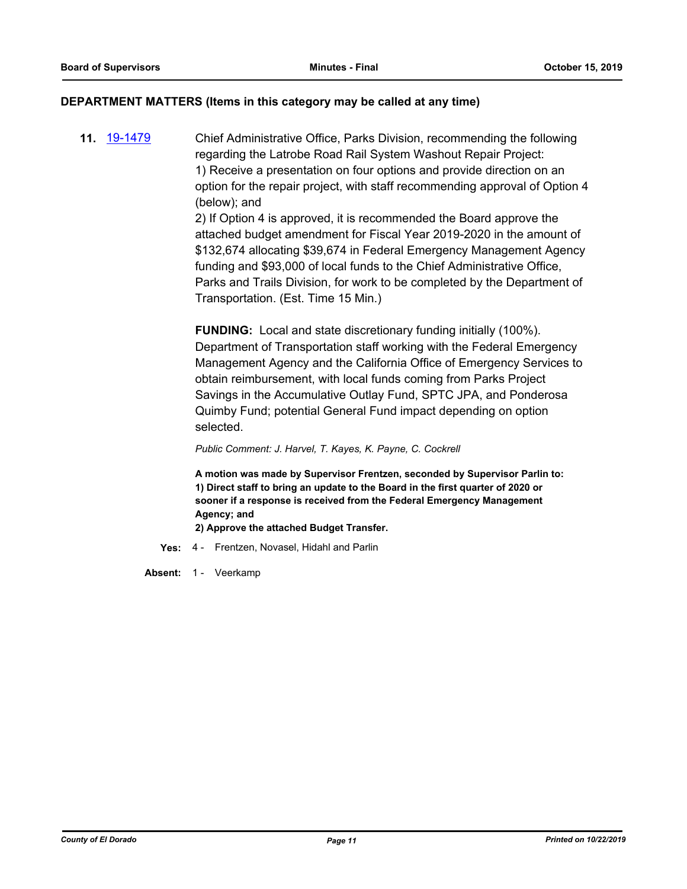#### **DEPARTMENT MATTERS (Items in this category may be called at any time)**

**11.** [19-1479](http://eldorado.legistar.com/gateway.aspx?m=l&id=/matter.aspx?key=26800) Chief Administrative Office, Parks Division, recommending the following regarding the Latrobe Road Rail System Washout Repair Project: 1) Receive a presentation on four options and provide direction on an option for the repair project, with staff recommending approval of Option 4 (below); and

2) If Option 4 is approved, it is recommended the Board approve the attached budget amendment for Fiscal Year 2019-2020 in the amount of \$132,674 allocating \$39,674 in Federal Emergency Management Agency funding and \$93,000 of local funds to the Chief Administrative Office, Parks and Trails Division, for work to be completed by the Department of Transportation. (Est. Time 15 Min.)

**FUNDING:** Local and state discretionary funding initially (100%). Department of Transportation staff working with the Federal Emergency Management Agency and the California Office of Emergency Services to obtain reimbursement, with local funds coming from Parks Project Savings in the Accumulative Outlay Fund, SPTC JPA, and Ponderosa Quimby Fund; potential General Fund impact depending on option selected.

*Public Comment: J. Harvel, T. Kayes, K. Payne, C. Cockrell*

**A motion was made by Supervisor Frentzen, seconded by Supervisor Parlin to: 1) Direct staff to bring an update to the Board in the first quarter of 2020 or sooner if a response is received from the Federal Emergency Management Agency; and**

**2) Approve the attached Budget Transfer.**

- **Yes:** 4 Frentzen, Novasel, Hidahl and Parlin
- Absent: 1 Veerkamp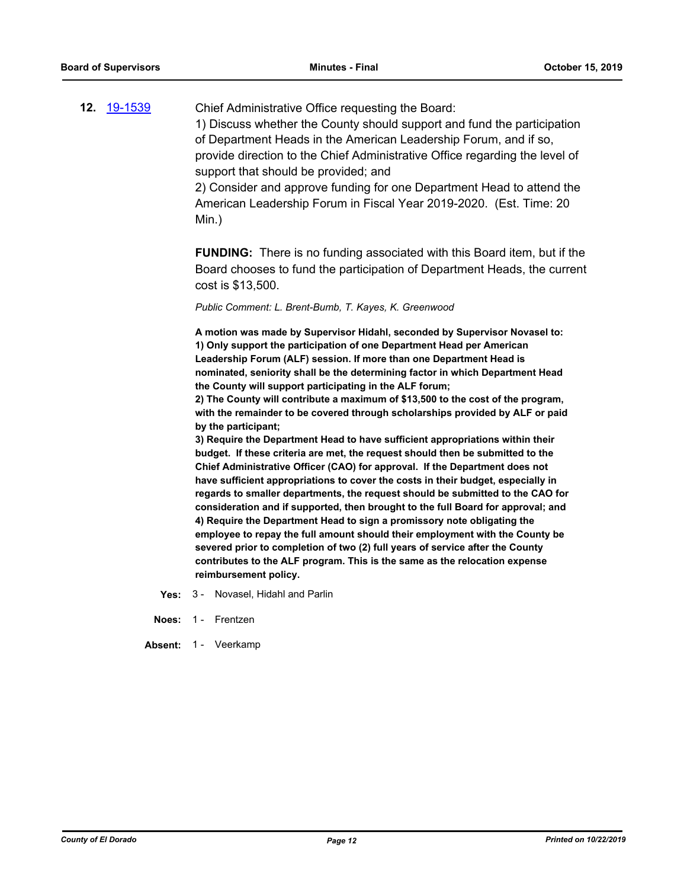**12.** [19-1539](http://eldorado.legistar.com/gateway.aspx?m=l&id=/matter.aspx?key=26861) Chief Administrative Office requesting the Board: 1) Discuss whether the County should support and fund the participation of Department Heads in the American Leadership Forum, and if so, provide direction to the Chief Administrative Office regarding the level of support that should be provided; and

> 2) Consider and approve funding for one Department Head to attend the American Leadership Forum in Fiscal Year 2019-2020. (Est. Time: 20 Min.)

**FUNDING:** There is no funding associated with this Board item, but if the Board chooses to fund the participation of Department Heads, the current cost is \$13,500.

*Public Comment: L. Brent-Bumb, T. Kayes, K. Greenwood*

**A motion was made by Supervisor Hidahl, seconded by Supervisor Novasel to: 1) Only support the participation of one Department Head per American Leadership Forum (ALF) session. If more than one Department Head is nominated, seniority shall be the determining factor in which Department Head the County will support participating in the ALF forum;**

**2) The County will contribute a maximum of \$13,500 to the cost of the program, with the remainder to be covered through scholarships provided by ALF or paid by the participant;**

**3) Require the Department Head to have sufficient appropriations within their budget. If these criteria are met, the request should then be submitted to the Chief Administrative Officer (CAO) for approval. If the Department does not have sufficient appropriations to cover the costs in their budget, especially in regards to smaller departments, the request should be submitted to the CAO for consideration and if supported, then brought to the full Board for approval; and 4) Require the Department Head to sign a promissory note obligating the employee to repay the full amount should their employment with the County be severed prior to completion of two (2) full years of service after the County contributes to the ALF program. This is the same as the relocation expense reimbursement policy.**

- **Yes:** 3 Novasel, Hidahl and Parlin
- **Noes:** 1 Frentzen

Absent: 1 - Veerkamp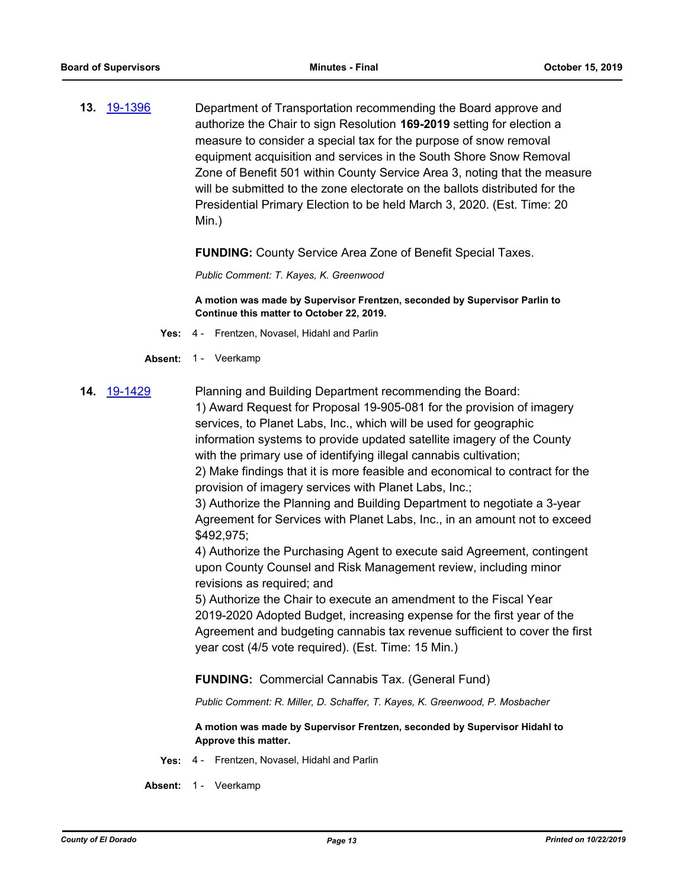**13.** [19-1396](http://eldorado.legistar.com/gateway.aspx?m=l&id=/matter.aspx?key=26717) Department of Transportation recommending the Board approve and authorize the Chair to sign Resolution **169-2019** setting for election a measure to consider a special tax for the purpose of snow removal equipment acquisition and services in the South Shore Snow Removal Zone of Benefit 501 within County Service Area 3, noting that the measure will be submitted to the zone electorate on the ballots distributed for the Presidential Primary Election to be held March 3, 2020. (Est. Time: 20 Min.)

**FUNDING:** County Service Area Zone of Benefit Special Taxes.

*Public Comment: T. Kayes, K. Greenwood*

**A motion was made by Supervisor Frentzen, seconded by Supervisor Parlin to Continue this matter to October 22, 2019.**

- **Yes:** 4 Frentzen, Novasel, Hidahl and Parlin
- Absent: 1 Veerkamp
- **14.** [19-1429](http://eldorado.legistar.com/gateway.aspx?m=l&id=/matter.aspx?key=26750) Planning and Building Department recommending the Board: 1) Award Request for Proposal 19-905-081 for the provision of imagery

services, to Planet Labs, Inc., which will be used for geographic information systems to provide updated satellite imagery of the County with the primary use of identifying illegal cannabis cultivation;

2) Make findings that it is more feasible and economical to contract for the provision of imagery services with Planet Labs, Inc.;

3) Authorize the Planning and Building Department to negotiate a 3-year Agreement for Services with Planet Labs, Inc., in an amount not to exceed \$492,975;

4) Authorize the Purchasing Agent to execute said Agreement, contingent upon County Counsel and Risk Management review, including minor revisions as required; and

5) Authorize the Chair to execute an amendment to the Fiscal Year 2019-2020 Adopted Budget, increasing expense for the first year of the Agreement and budgeting cannabis tax revenue sufficient to cover the first year cost (4/5 vote required). (Est. Time: 15 Min.)

**FUNDING:** Commercial Cannabis Tax. (General Fund)

*Public Comment: R. Miller, D. Schaffer, T. Kayes, K. Greenwood, P. Mosbacher*

**A motion was made by Supervisor Frentzen, seconded by Supervisor Hidahl to Approve this matter.**

**Yes:** 4 - Frentzen, Novasel, Hidahl and Parlin

Absent: 1 - Veerkamp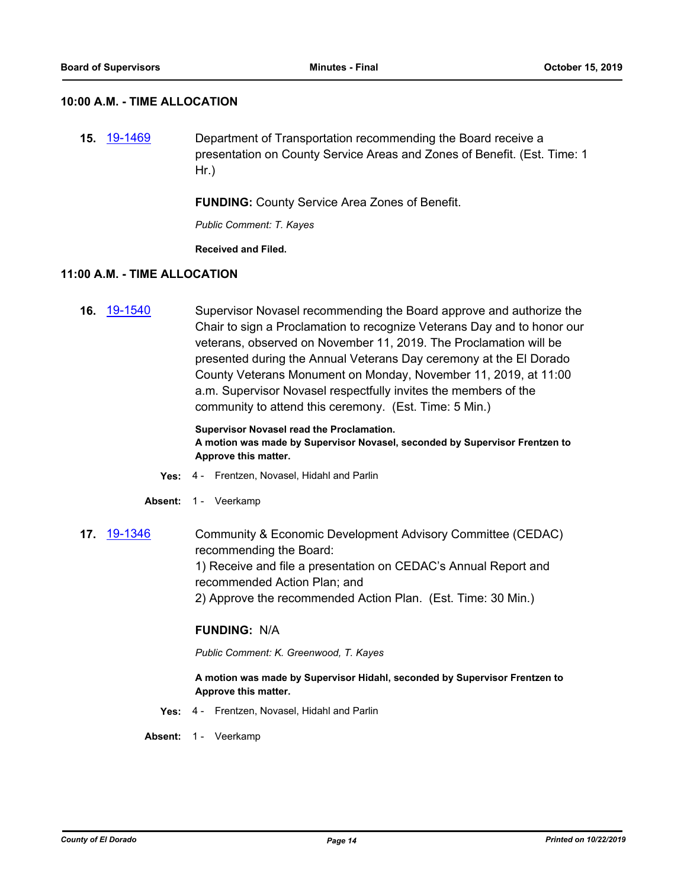#### **10:00 A.M. - TIME ALLOCATION**

**15.** [19-1469](http://eldorado.legistar.com/gateway.aspx?m=l&id=/matter.aspx?key=26790) Department of Transportation recommending the Board receive a presentation on County Service Areas and Zones of Benefit. (Est. Time: 1 Hr.)

**FUNDING:** County Service Area Zones of Benefit.

*Public Comment: T. Kayes*

**Received and Filed.**

#### **11:00 A.M. - TIME ALLOCATION**

**16.** [19-1540](http://eldorado.legistar.com/gateway.aspx?m=l&id=/matter.aspx?key=26862) Supervisor Novasel recommending the Board approve and authorize the Chair to sign a Proclamation to recognize Veterans Day and to honor our veterans, observed on November 11, 2019. The Proclamation will be presented during the Annual Veterans Day ceremony at the El Dorado County Veterans Monument on Monday, November 11, 2019, at 11:00 a.m. Supervisor Novasel respectfully invites the members of the community to attend this ceremony. (Est. Time: 5 Min.)

#### **Supervisor Novasel read the Proclamation. A motion was made by Supervisor Novasel, seconded by Supervisor Frentzen to Approve this matter.**

- **Yes:** 4 Frentzen, Novasel, Hidahl and Parlin
- Absent: 1 Veerkamp
- **17.** [19-1346](http://eldorado.legistar.com/gateway.aspx?m=l&id=/matter.aspx?key=26667) Community & Economic Development Advisory Committee (CEDAC) recommending the Board: 1) Receive and file a presentation on CEDAC's Annual Report and recommended Action Plan; and 2) Approve the recommended Action Plan. (Est. Time: 30 Min.)

#### **FUNDING:** N/A

*Public Comment: K. Greenwood, T. Kayes*

#### **A motion was made by Supervisor Hidahl, seconded by Supervisor Frentzen to Approve this matter.**

**Yes:** 4 - Frentzen, Novasel, Hidahl and Parlin

Absent: 1 - Veerkamp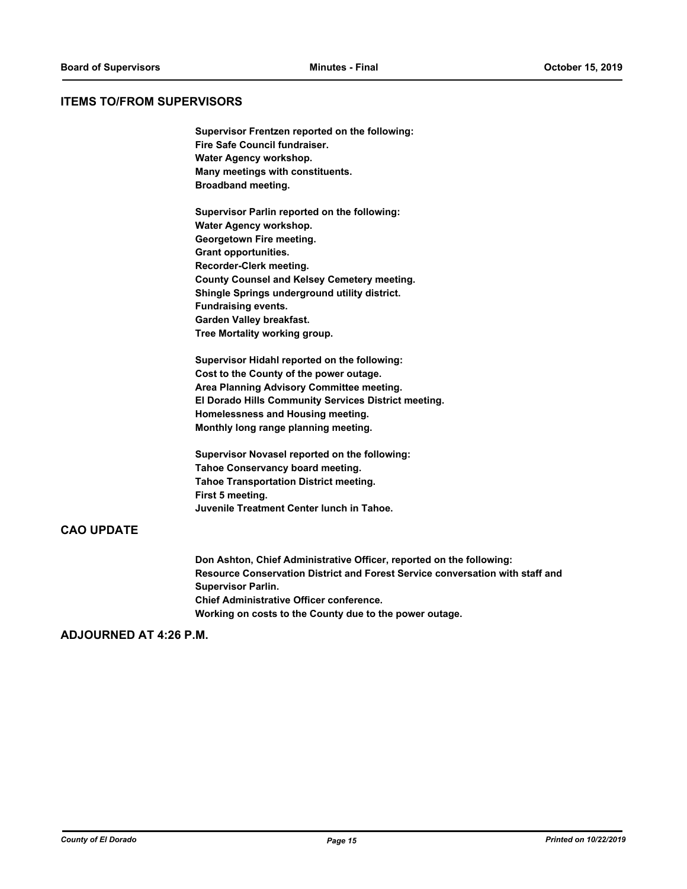#### **ITEMS TO/FROM SUPERVISORS**

**Supervisor Frentzen reported on the following: Fire Safe Council fundraiser. Water Agency workshop. Many meetings with constituents. Broadband meeting.**

**Supervisor Parlin reported on the following: Water Agency workshop. Georgetown Fire meeting. Grant opportunities. Recorder-Clerk meeting. County Counsel and Kelsey Cemetery meeting. Shingle Springs underground utility district. Fundraising events. Garden Valley breakfast. Tree Mortality working group.**

**Supervisor Hidahl reported on the following: Cost to the County of the power outage. Area Planning Advisory Committee meeting. El Dorado Hills Community Services District meeting. Homelessness and Housing meeting. Monthly long range planning meeting.**

**Supervisor Novasel reported on the following: Tahoe Conservancy board meeting. Tahoe Transportation District meeting. First 5 meeting. Juvenile Treatment Center lunch in Tahoe.**

#### **CAO UPDATE**

**Don Ashton, Chief Administrative Officer, reported on the following: Resource Conservation District and Forest Service conversation with staff and Supervisor Parlin. Chief Administrative Officer conference. Working on costs to the County due to the power outage.**

### **ADJOURNED AT 4:26 P.M.**